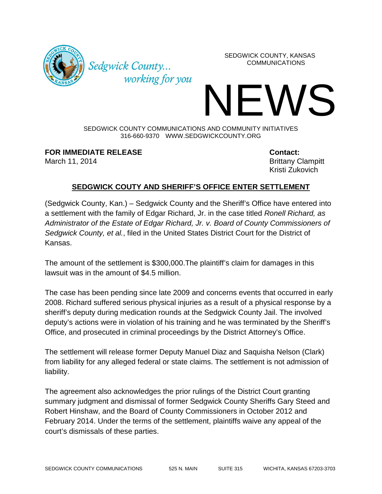

SEDGWICK COUNTY, KANSAS COMMUNICATIONS

IEWS SEDGWICK COUNTY COMMUNICATIONS AND COMMUNITY INITIATIVES

316-660-9370 WWW.SEDGWICKCOUNTY.ORG

**FOR IMMEDIATE RELEASE Contact:**

Sedgwick County...

working for you

March 11, 2014 **Brittany Clampitt** Kristi Zukovich

## **SEDGWICK COUTY AND SHERIFF'S OFFICE ENTER SETTLEMENT**

(Sedgwick County, Kan.) – Sedgwick County and the Sheriff's Office have entered into a settlement with the family of Edgar Richard, Jr. in the case titled *Ronell Richard, as Administrator of the Estate of Edgar Richard, Jr. v. Board of County Commissioners of Sedgwick County, et al.*, filed in the United States District Court for the District of Kansas.

The amount of the settlement is \$300,000.The plaintiff's claim for damages in this lawsuit was in the amount of \$4.5 million.

The case has been pending since late 2009 and concerns events that occurred in early 2008. Richard suffered serious physical injuries as a result of a physical response by a sheriff's deputy during medication rounds at the Sedgwick County Jail. The involved deputy's actions were in violation of his training and he was terminated by the Sheriff's Office, and prosecuted in criminal proceedings by the District Attorney's Office.

The settlement will release former Deputy Manuel Diaz and Saquisha Nelson (Clark) from liability for any alleged federal or state claims. The settlement is not admission of liability.

The agreement also acknowledges the prior rulings of the District Court granting summary judgment and dismissal of former Sedgwick County Sheriffs Gary Steed and Robert Hinshaw, and the Board of County Commissioners in October 2012 and February 2014. Under the terms of the settlement, plaintiffs waive any appeal of the court's dismissals of these parties.